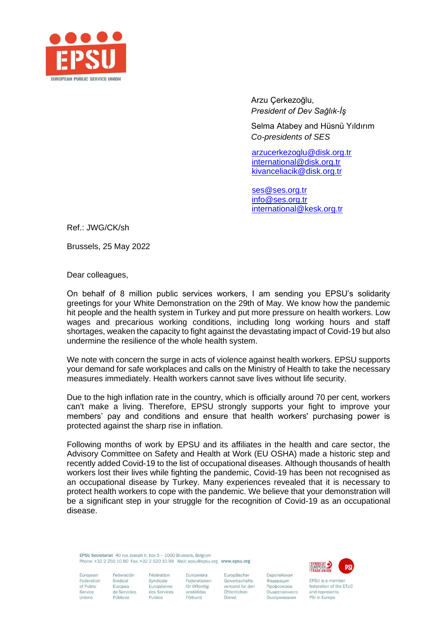

Arzu Çerkezoğlu, *President of Dev Sağlık-İş*

Selma Atabey and Hüsnü Yıldırım *Co-presidents of SES*

 [arzucerkezoglu@disk.org.tr](mailto:arzucerkezoglu@disk.org.tr) [international@disk.org.tr](mailto:international@disk.org.tr) [kivanceliacik@disk.org.tr](mailto:kivanceliacik@disk.org.tr)

 [ses@ses.org.tr](mailto:ses@ses.org.tr) [info@ses.org.tr](mailto:info@ses.org.tr) [international@kesk.org.tr](mailto:international@kesk.org.tr)

Ref.: JWG/CK/sh

Brussels, 25 May 2022

Dear colleagues,

On behalf of 8 million public services workers, I am sending you EPSU's solidarity greetings for your White Demonstration on the 29th of May. We know how the pandemic hit people and the health system in Turkey and put more pressure on health workers. Low wages and precarious working conditions, including long working hours and staff shortages, weaken the capacity to fight against the devastating impact of Covid-19 but also undermine the resilience of the whole health system.

We note with concern the surge in acts of violence against health workers. EPSU supports your demand for safe workplaces and calls on the Ministry of Health to take the necessary measures immediately. Health workers cannot save lives without life security.

Due to the high inflation rate in the country, which is officially around 70 per cent, workers can't make a living. Therefore, EPSU strongly supports your fight to improve your members' pay and conditions and ensure that health workers' purchasing power is protected against the sharp rise in inflation.

Following months of work by EPSU and its affiliates in the health and care sector, the Advisory Committee on Safety and Health at Work (EU OSHA) made a historic step and recently added Covid-19 to the list of occupational diseases. Although thousands of health workers lost their lives while fighting the pandemic, Covid-19 has been not recognised as an occupational disease by Turkey. Many experiences revealed that it is necessary to protect health workers to cope with the pandemic. We believe that your demonstration will be a significant step in your struggle for the recognition of Covid-19 as an occupational disease.

EPSU Secretariat 40 rue Joseph II, box 5 - 1000 Brussels, Belgium Phone: +32.2.250.10.80 Fax: +32.2.520.10.99 Mail: ensu@ensu.org www.ensu.org

Syndicale



European Federation of Public Service Unions

Federación Sindical Europea de Servicios Públicos Publics

Fédération Europeiska Federationen Européenne för Offentligdes Services anställdas Förbund

Europäischer Gewerkschaftsverband für den Öffentlichen Dienst

Европейская Федерация Профсоюзов Оъщественного Оъспуживания

EPSU is a member federation of the ETUC and represents PSI in Furone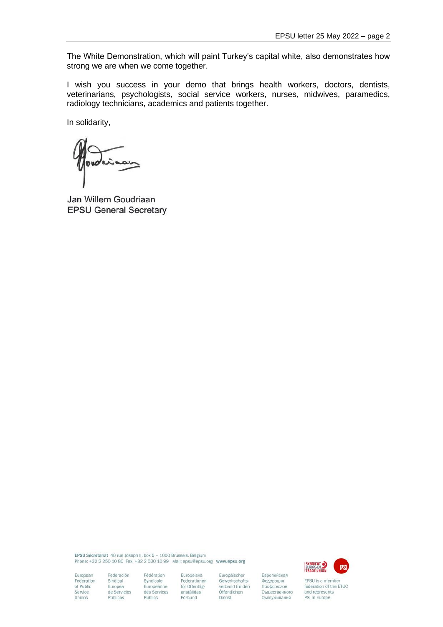The White Demonstration, which will paint Turkey's capital white, also demonstrates how strong we are when we come together.

I wish you success in your demo that brings health workers, doctors, dentists, veterinarians, psychologists, social service workers, nurses, midwives, paramedics, radiology technicians, academics and patients together.

In solidarity,

Jan Willem Goudriaan **EPSU General Secretary** 

EPSU Secretariat 40 rue Joseph II, box 5 - 1000 Brussels, Belgium Phone: +32 2 250 10 80 Fax: +32 2 520 10 99 Mail: epsu@epsu.org www.epsu.org

Fédération

Syndicale

Publics



EPSU is a member federation of the ETUC and represents PSI in Europe

European Federation of Public Service Unions

Federación Sindical Europea<br>de Servicios Públicos

Europeiska Federationen Européenne för Offentligdes Services anställdas Förbund

Europäischer Gewerkschafts verband für den Öffentlichen Dienst

Европейская

Федерация

Профсоюзов

Оъщественного

Оъспуживания